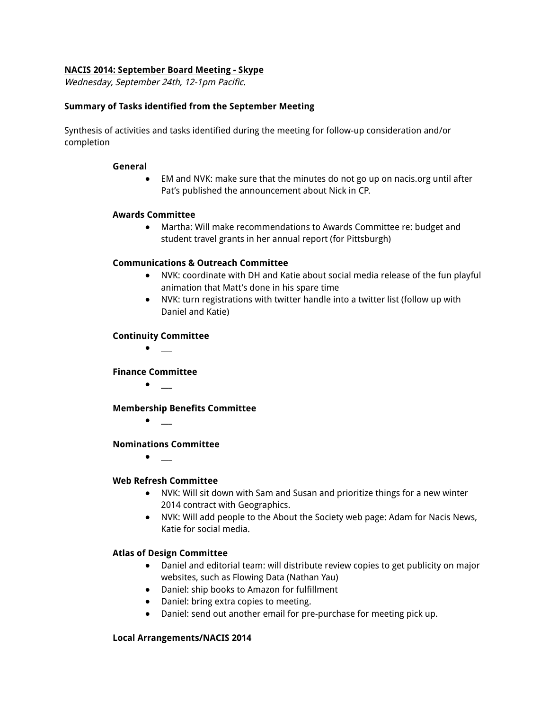## **NACIS 2014: September Board Meeting - Skype**

Wednesday, September 24th, 12-1pm Pacific.

## **Summary of Tasks identified from the September Meeting**

Synthesis of activities and tasks identified during the meeting for follow-up consideration and/or completion

#### **General**

● EM and NVK: make sure that the minutes do not go up on nacis.org until after Pat's published the announcement about Nick in CP.

## **Awards Committee**

● Martha: Will make recommendations to Awards Committee re: budget and student travel grants in her annual report (for Pittsburgh)

## **Communications & Outreach Committee**

- **●** NVK: coordinate with DH and Katie about social media release of the fun playful animation that Matt's done in his spare time
- **●** NVK: turn registrations with twitter handle into a twitter list (follow up with Daniel and Katie)

#### **Continuity Committee**

**●** \_\_\_

#### **Finance Committee**

**●** \_\_\_

#### **Membership Benefits Committee**

**●** \_\_\_

#### **Nominations Committee**

**●** \_\_\_

## **Web Refresh Committee**

- **●** NVK: Will sit down with Sam and Susan and prioritize things for a new winter 2014 contract with Geographics.
- NVK: Will add people to the About the Society web page: Adam for Nacis News, Katie for social media.

## **Atlas of Design Committee**

- Daniel and editorial team: will distribute review copies to get publicity on major websites, such as Flowing Data (Nathan Yau)
- Daniel: ship books to Amazon for fulfillment
- Daniel: bring extra copies to meeting.
- Daniel: send out another email for pre-purchase for meeting pick up.

#### **Local Arrangements/NACIS 2014**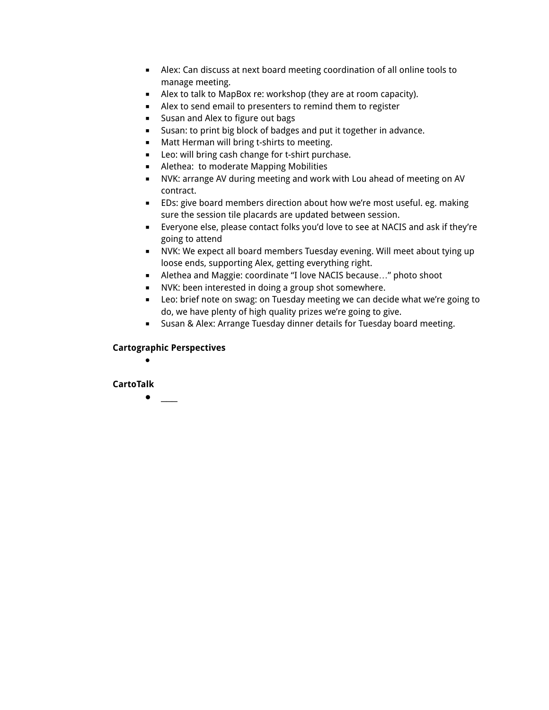- Alex: Can discuss at next board meeting coordination of all online tools to manage meeting.
- Alex to talk to MapBox re: workshop (they are at room capacity).
- Alex to send email to presenters to remind them to register
- Susan and Alex to figure out bags
- Susan: to print big block of badges and put it together in advance.
- Matt Herman will bring t-shirts to meeting.
- Leo: will bring cash change for t-shirt purchase.
- Alethea: to moderate Mapping Mobilities
- NVK: arrange AV during meeting and work with Lou ahead of meeting on AV contract.
- EDs: give board members direction about how we're most useful. eg. making sure the session tile placards are updated between session.
- Everyone else, please contact folks you'd love to see at NACIS and ask if they're going to attend
- NVK: We expect all board members Tuesday evening. Will meet about tying up loose ends, supporting Alex, getting everything right.
- Alethea and Maggie: coordinate "I love NACIS because..." photo shoot
- NVK: been interested in doing a group shot somewhere.
- Leo: brief note on swag: on Tuesday meeting we can decide what we're going to do, we have plenty of high quality prizes we're going to give.
- Susan & Alex: Arrange Tuesday dinner details for Tuesday board meeting.

# **Cartographic Perspectives**

**●**

# **CartoTalk**

**●** \_\_\_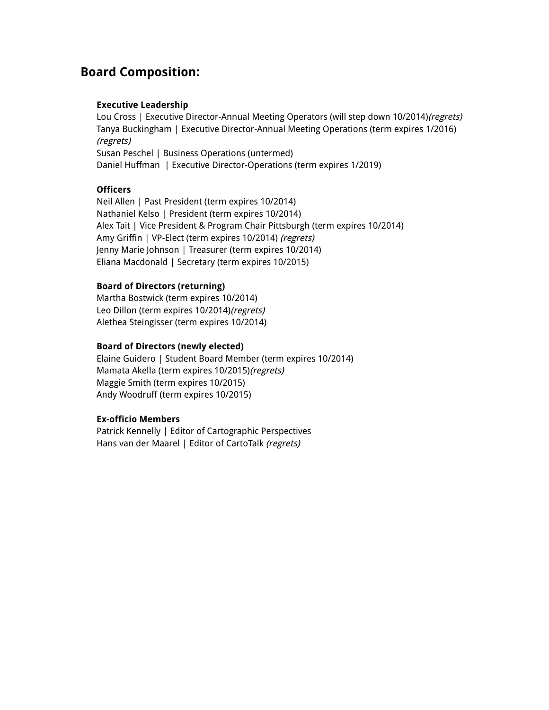# **Board Composition:**

## **Executive Leadership**

Lou Cross | Executive Director-Annual Meeting Operators (will step down 10/2014)(regrets) Tanya Buckingham | Executive Director-Annual Meeting Operations (term expires 1/2016) (regrets) Susan Peschel | Business Operations (untermed) Daniel Huffman | Executive Director-Operations (term expires 1/2019)

# **Officers**

Neil Allen | Past President (term expires 10/2014) Nathaniel Kelso | President (term expires 10/2014) Alex Tait | Vice President & Program Chair Pittsburgh (term expires 10/2014) Amy Griffin | VP-Elect (term expires 10/2014) (regrets) Jenny Marie Johnson | Treasurer (term expires 10/2014) Eliana Macdonald | Secretary (term expires 10/2015)

## **Board of Directors (returning)**

Martha Bostwick (term expires 10/2014) Leo Dillon (term expires 10/2014)(regrets) Alethea Steingisser (term expires 10/2014)

## **Board of Directors (newly elected)**

Elaine Guidero | Student Board Member (term expires 10/2014) Mamata Akella (term expires 10/2015)(regrets) Maggie Smith (term expires 10/2015) Andy Woodruff (term expires 10/2015)

## **Ex-officio Members**

Patrick Kennelly | Editor of Cartographic Perspectives Hans van der Maarel | Editor of CartoTalk (regrets)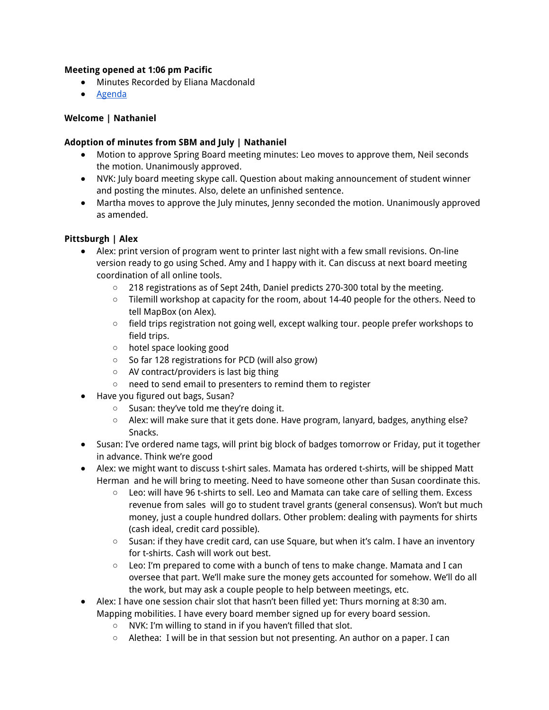## **Meeting opened at 1:06 pm Pacific**

- Minutes Recorded by Eliana Macdonald
- Agenda

## **Welcome | Nathaniel**

## **Adoption of minutes from SBM and July | Nathaniel**

- Motion to approve Spring Board meeting minutes: Leo moves to approve them, Neil seconds the motion. Unanimously approved.
- NVK: July board meeting skype call. Question about making announcement of student winner and posting the minutes. Also, delete an unfinished sentence.
- Martha moves to approve the July minutes, Jenny seconded the motion. Unanimously approved as amended.

# **Pittsburgh | Alex**

- Alex: print version of program went to printer last night with a few small revisions. On-line version ready to go using Sched. Amy and I happy with it. Can discuss at next board meeting coordination of all online tools.
	- 218 registrations as of Sept 24th, Daniel predicts 270-300 total by the meeting.
	- Tilemill workshop at capacity for the room, about 14-40 people for the others. Need to tell MapBox (on Alex).
	- field trips registration not going well, except walking tour. people prefer workshops to field trips.
	- hotel space looking good
	- So far 128 registrations for PCD (will also grow)
	- AV contract/providers is last big thing
	- need to send email to presenters to remind them to register
- Have you figured out bags, Susan?
	- Susan: they've told me they're doing it.
	- $\circ$  Alex: will make sure that it gets done. Have program, lanyard, badges, anything else? Snacks.
- Susan: I've ordered name tags, will print big block of badges tomorrow or Friday, put it together in advance. Think we're good
- Alex: we might want to discuss t-shirt sales. Mamata has ordered t-shirts, will be shipped Matt Herman and he will bring to meeting. Need to have someone other than Susan coordinate this.
	- Leo: will have 96 t-shirts to sell. Leo and Mamata can take care of selling them. Excess revenue from sales will go to student travel grants (general consensus). Won't but much money, just a couple hundred dollars. Other problem: dealing with payments for shirts (cash ideal, credit card possible).
	- Susan: if they have credit card, can use Square, but when it's calm. I have an inventory for t-shirts. Cash will work out best.
	- $\circ$  Leo: I'm prepared to come with a bunch of tens to make change. Mamata and I can oversee that part. We'll make sure the money gets accounted for somehow. We'll do all the work, but may ask a couple people to help between meetings, etc.
- Alex: I have one session chair slot that hasn't been filled yet: Thurs morning at 8:30 am. Mapping mobilities. I have every board member signed up for every board session.
	- NVK: I'm willing to stand in if you haven't filled that slot.
	- $\circ$  Alethea: I will be in that session but not presenting. An author on a paper. I can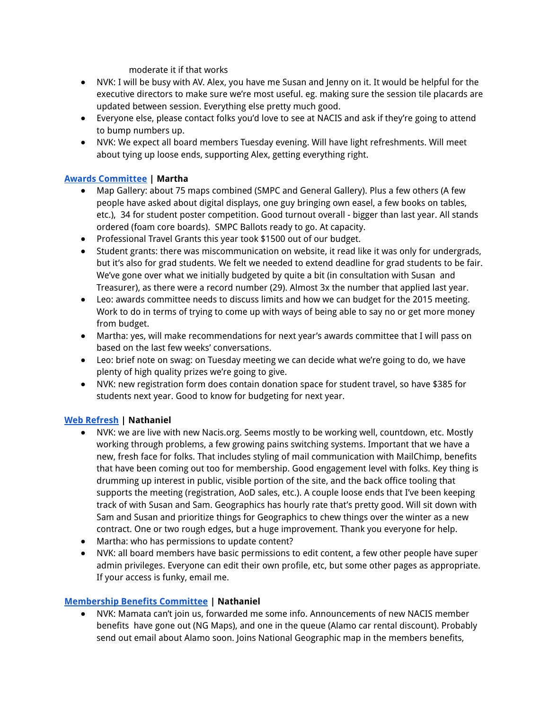moderate it if that works

- NVK: I will be busy with AV. Alex, you have me Susan and Jenny on it. It would be helpful for the executive directors to make sure we're most useful. eg. making sure the session tile placards are updated between session. Everything else pretty much good.
- Everyone else, please contact folks you'd love to see at NACIS and ask if they're going to attend to bump numbers up.
- NVK: We expect all board members Tuesday evening. Will have light refreshments. Will meet about tying up loose ends, supporting Alex, getting everything right.

# **Awards Committee | Martha**

- Map Gallery: about 75 maps combined (SMPC and General Gallery). Plus a few others (A few people have asked about digital displays, one guy bringing own easel, a few books on tables, etc.), 34 for student poster competition. Good turnout overall - bigger than last year. All stands ordered (foam core boards). SMPC Ballots ready to go. At capacity.
- Professional Travel Grants this year took \$1500 out of our budget.
- Student grants: there was miscommunication on website, it read like it was only for undergrads, but it's also for grad students. We felt we needed to extend deadline for grad students to be fair. We've gone over what we initially budgeted by quite a bit (in consultation with Susan and Treasurer), as there were a record number (29). Almost 3x the number that applied last year.
- Leo: awards committee needs to discuss limits and how we can budget for the 2015 meeting. Work to do in terms of trying to come up with ways of being able to say no or get more money from budget.
- Martha: yes, will make recommendations for next year's awards committee that I will pass on based on the last few weeks' conversations.
- Leo: brief note on swag: on Tuesday meeting we can decide what we're going to do, we have plenty of high quality prizes we're going to give.
- NVK: new registration form does contain donation space for student travel, so have \$385 for students next year. Good to know for budgeting for next year.

# **Web Refresh | Nathaniel**

- NVK: we are live with new Nacis.org. Seems mostly to be working well, countdown, etc. Mostly working through problems, a few growing pains switching systems. Important that we have a new, fresh face for folks. That includes styling of mail communication with MailChimp, benefits that have been coming out too for membership. Good engagement level with folks. Key thing is drumming up interest in public, visible portion of the site, and the back office tooling that supports the meeting (registration, AoD sales, etc.). A couple loose ends that I've been keeping track of with Susan and Sam. Geographics has hourly rate that's pretty good. Will sit down with Sam and Susan and prioritize things for Geographics to chew things over the winter as a new contract. One or two rough edges, but a huge improvement. Thank you everyone for help.
- Martha: who has permissions to update content?
- NVK: all board members have basic permissions to edit content, a few other people have super admin privileges. Everyone can edit their own profile, etc, but some other pages as appropriate. If your access is funky, email me.

## **Membership Benefits Committee | Nathaniel**

NVK: Mamata can't join us, forwarded me some info. Announcements of new NACIS member benefits have gone out (NG Maps), and one in the queue (Alamo car rental discount). Probably send out email about Alamo soon. Joins National Geographic map in the members benefits,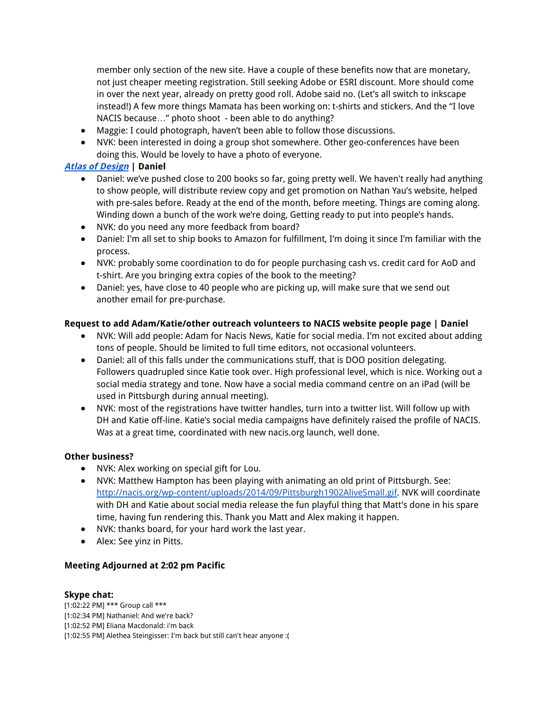member only section of the new site. Have a couple of these benefits now that are monetary, not just cheaper meeting registration. Still seeking Adobe or ESRI discount. More should come in over the next year, already on pretty good roll. Adobe said no. (Let's all switch to inkscape instead!) A few more things Mamata has been working on: t-shirts and stickers. And the "I love NACIS because…" photo shoot - been able to do anything?

- Maggie: I could photograph, haven't been able to follow those discussions.
- NVK: been interested in doing a group shot somewhere. Other geo-conferences have been doing this. Would be lovely to have a photo of everyone.

## **Atlas of Design | Daniel**

- Daniel: we've pushed close to 200 books so far, going pretty well. We haven't really had anything to show people, will distribute review copy and get promotion on Nathan Yau's website, helped with pre-sales before. Ready at the end of the month, before meeting. Things are coming along. Winding down a bunch of the work we're doing, Getting ready to put into people's hands.
- NVK: do you need any more feedback from board?
- Daniel: I'm all set to ship books to Amazon for fulfillment, I'm doing it since I'm familiar with the process.
- NVK: probably some coordination to do for people purchasing cash vs. credit card for AoD and t-shirt. Are you bringing extra copies of the book to the meeting?
- Daniel: yes, have close to 40 people who are picking up, will make sure that we send out another email for pre-purchase.

## **Request to add Adam/Katie/other outreach volunteers to NACIS website people page | Daniel**

- NVK: Will add people: Adam for Nacis News, Katie for social media. I'm not excited about adding tons of people. Should be limited to full time editors, not occasional volunteers.
- Daniel: all of this falls under the communications stuff, that is DOO position delegating. Followers quadrupled since Katie took over. High professional level, which is nice. Working out a social media strategy and tone. Now have a social media command centre on an iPad (will be used in Pittsburgh during annual meeting).
- NVK: most of the registrations have twitter handles, turn into a twitter list. Will follow up with DH and Katie off-line. Katie's social media campaigns have definitely raised the profile of NACIS. Was at a great time, coordinated with new nacis.org launch, well done.

## **Other business?**

- NVK: Alex working on special gift for Lou.
- NVK: Matthew Hampton has been playing with animating an old print of Pittsburgh. See: http://nacis.org/wp-content/uploads/2014/09/Pittsburgh1902AliveSmall.gif. NVK will coordinate with DH and Katie about social media release the fun playful thing that Matt's done in his spare time, having fun rendering this. Thank you Matt and Alex making it happen.
- NVK: thanks board, for your hard work the last year.
- Alex: See yinz in Pitts.

## **Meeting Adjourned at 2:02 pm Pacific**

## **Skype chat:**

[1:02:22 PM] \*\*\* Group call \*\*\* [1:02:34 PM] Nathaniel: And we're back? [1:02:52 PM] Eliana Macdonald: i'm back [1:02:55 PM] Alethea Steingisser: I'm back but still can't hear anyone :(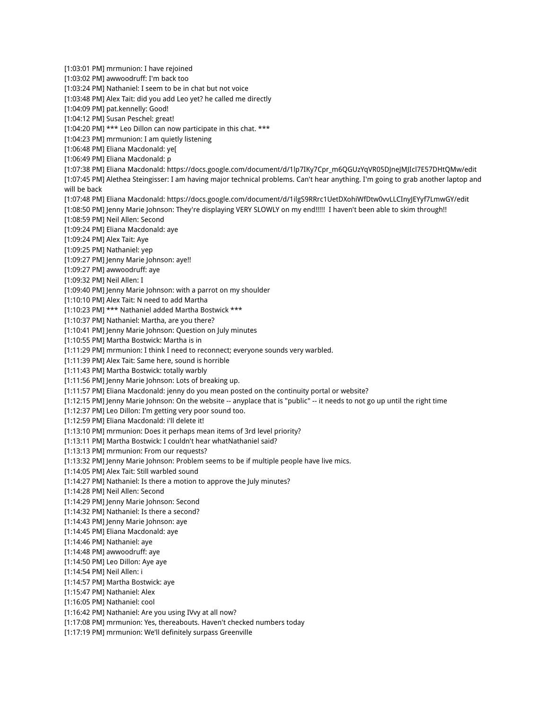[1:03:01 PM] mrmunion: I have rejoined [1:03:02 PM] awwoodruff: I'm back too [1:03:24 PM] Nathaniel: I seem to be in chat but not voice [1:03:48 PM] Alex Tait: did you add Leo yet? he called me directly [1:04:09 PM] pat.kennelly: Good! [1:04:12 PM] Susan Peschel: great! [1:04:20 PM] \*\*\* Leo Dillon can now participate in this chat. \*\*\* [1:04:23 PM] mrmunion: I am quietly listening [1:06:48 PM] Eliana Macdonald: ye[ [1:06:49 PM] Eliana Macdonald: p [1:07:38 PM] Eliana Macdonald: https://docs.google.com/document/d/1lp7IKy7Cpr\_m6QGUzYqVR05DJneJMJIcl7E57DHtQMw/edit [1:07:45 PM] Alethea Steingisser: I am having major technical problems. Can't hear anything. I'm going to grab another laptop and will be back [1:07:48 PM] Eliana Macdonald: https://docs.google.com/document/d/1ilgS9RRrc1UetDXohiWfDtw0vvLLCInyJEYyf7LmwGY/edit [1:08:50 PM] Jenny Marie Johnson: They're displaying VERY SLOWLY on my end!!!!! I haven't been able to skim through!! [1:08:59 PM] Neil Allen: Second [1:09:24 PM] Eliana Macdonald: aye [1:09:24 PM] Alex Tait: Aye [1:09:25 PM] Nathaniel: yep [1:09:27 PM] Jenny Marie Johnson: aye!! [1:09:27 PM] awwoodruff: aye [1:09:32 PM] Neil Allen: I [1:09:40 PM] Jenny Marie Johnson: with a parrot on my shoulder [1:10:10 PM] Alex Tait: N need to add Martha [1:10:23 PM] \*\*\* Nathaniel added Martha Bostwick \*\*\* [1:10:37 PM] Nathaniel: Martha, are you there? [1:10:41 PM] Jenny Marie Johnson: Question on July minutes [1:10:55 PM] Martha Bostwick: Martha is in [1:11:29 PM] mrmunion: I think I need to reconnect; everyone sounds very warbled. [1:11:39 PM] Alex Tait: Same here, sound is horrible [1:11:43 PM] Martha Bostwick: totally warbly [1:11:56 PM] Jenny Marie Johnson: Lots of breaking up. [1:11:57 PM] Eliana Macdonald: jenny do you mean posted on the continuity portal or website? [1:12:15 PM] Jenny Marie Johnson: On the website -- anyplace that is "public" -- it needs to not go up until the right time [1:12:37 PM] Leo Dillon: I'm getting very poor sound too. [1:12:59 PM] Eliana Macdonald: i'll delete it! [1:13:10 PM] mrmunion: Does it perhaps mean items of 3rd level priority? [1:13:11 PM] Martha Bostwick: I couldn't hear whatNathaniel said? [1:13:13 PM] mrmunion: From our requests? [1:13:32 PM] Jenny Marie Johnson: Problem seems to be if multiple people have live mics. [1:14:05 PM] Alex Tait: Still warbled sound [1:14:27 PM] Nathaniel: Is there a motion to approve the July minutes? [1:14:28 PM] Neil Allen: Second [1:14:29 PM] Jenny Marie Johnson: Second [1:14:32 PM] Nathaniel: Is there a second? [1:14:43 PM] Jenny Marie Johnson: aye [1:14:45 PM] Eliana Macdonald: aye [1:14:46 PM] Nathaniel: aye [1:14:48 PM] awwoodruff: aye [1:14:50 PM] Leo Dillon: Aye aye [1:14:54 PM] Neil Allen: i [1:14:57 PM] Martha Bostwick: aye [1:15:47 PM] Nathaniel: Alex [1:16:05 PM] Nathaniel: cool [1:16:42 PM] Nathaniel: Are you using IVvy at all now? [1:17:08 PM] mrmunion: Yes, thereabouts. Haven't checked numbers today [1:17:19 PM] mrmunion: We'll definitely surpass Greenville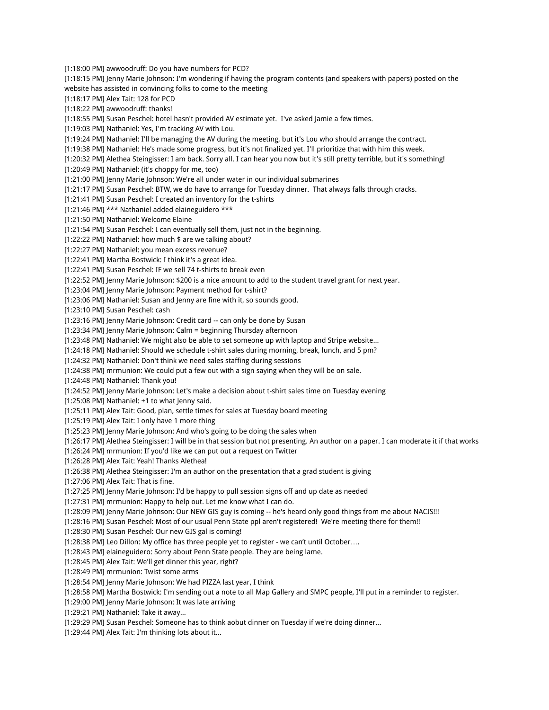[1:18:00 PM] awwoodruff: Do you have numbers for PCD? [1:18:15 PM] Jenny Marie Johnson: I'm wondering if having the program contents (and speakers with papers) posted on the website has assisted in convincing folks to come to the meeting [1:18:17 PM] Alex Tait: 128 for PCD [1:18:22 PM] awwoodruff: thanks! [1:18:55 PM] Susan Peschel: hotel hasn't provided AV estimate yet. I've asked Jamie a few times. [1:19:03 PM] Nathaniel: Yes, I'm tracking AV with Lou. [1:19:24 PM] Nathaniel: I'll be managing the AV during the meeting, but it's Lou who should arrange the contract. [1:19:38 PM] Nathaniel: He's made some progress, but it's not finalized yet. I'll prioritize that with him this week. [1:20:32 PM] Alethea Steingisser: I am back. Sorry all. I can hear you now but it's still pretty terrible, but it's something! [1:20:49 PM] Nathaniel: (it's choppy for me, too) [1:21:00 PM] Jenny Marie Johnson: We're all under water in our individual submarines [1:21:17 PM] Susan Peschel: BTW, we do have to arrange for Tuesday dinner. That always falls through cracks. [1:21:41 PM] Susan Peschel: I created an inventory for the t-shirts [1:21:46 PM] \*\*\* Nathaniel added elaineguidero \*\*\* [1:21:50 PM] Nathaniel: Welcome Elaine [1:21:54 PM] Susan Peschel: I can eventually sell them, just not in the beginning. [1:22:22 PM] Nathaniel: how much \$ are we talking about? [1:22:27 PM] Nathaniel: you mean excess revenue? [1:22:41 PM] Martha Bostwick: I think it's a great idea. [1:22:41 PM] Susan Peschel: IF we sell 74 t-shirts to break even [1:22:52 PM] Jenny Marie Johnson: \$200 is a nice amount to add to the student travel grant for next year. [1:23:04 PM] Jenny Marie Johnson: Payment method for t-shirt? [1:23:06 PM] Nathaniel: Susan and Jenny are fine with it, so sounds good. [1:23:10 PM] Susan Peschel: cash [1:23:16 PM] Jenny Marie Johnson: Credit card -- can only be done by Susan [1:23:34 PM] Jenny Marie Johnson: Calm = beginning Thursday afternoon [1:23:48 PM] Nathaniel: We might also be able to set someone up with laptop and Stripe website... [1:24:18 PM] Nathaniel: Should we schedule t-shirt sales during morning, break, lunch, and 5 pm? [1:24:32 PM] Nathaniel: Don't think we need sales staffing during sessions [1:24:38 PM] mrmunion: We could put a few out with a sign saying when they will be on sale. [1:24:48 PM] Nathaniel: Thank you! [1:24:52 PM] Jenny Marie Johnson: Let's make a decision about t-shirt sales time on Tuesday evening [1:25:08 PM] Nathaniel: +1 to what Jenny said. [1:25:11 PM] Alex Tait: Good, plan, settle times for sales at Tuesday board meeting [1:25:19 PM] Alex Tait: I only have 1 more thing [1:25:23 PM] Jenny Marie Johnson: And who's going to be doing the sales when [1:26:17 PM] Alethea Steingisser: I will be in that session but not presenting. An author on a paper. I can moderate it if that works [1:26:24 PM] mrmunion: If you'd like we can put out a request on Twitter [1:26:28 PM] Alex Tait: Yeah! Thanks Alethea! [1:26:38 PM] Alethea Steingisser: I'm an author on the presentation that a grad student is giving [1:27:06 PM] Alex Tait: That is fine. [1:27:25 PM] Jenny Marie Johnson: I'd be happy to pull session signs off and up date as needed [1:27:31 PM] mrmunion: Happy to help out. Let me know what I can do. [1:28:09 PM] Jenny Marie Johnson: Our NEW GIS guy is coming -- he's heard only good things from me about NACIS!!! [1:28:16 PM] Susan Peschel: Most of our usual Penn State ppl aren't registered! We're meeting there for them!! [1:28:30 PM] Susan Peschel: Our new GIS gal is coming! [1:28:38 PM] Leo Dillon: My office has three people yet to register - we can't until October…. [1:28:43 PM] elaineguidero: Sorry about Penn State people. They are being lame. [1:28:45 PM] Alex Tait: We'll get dinner this year, right? [1:28:49 PM] mrmunion: Twist some arms [1:28:54 PM] Jenny Marie Johnson: We had PIZZA last year, I think [1:28:58 PM] Martha Bostwick: I'm sending out a note to all Map Gallery and SMPC people, I'll put in a reminder to register. [1:29:00 PM] Jenny Marie Johnson: It was late arriving [1:29:21 PM] Nathaniel: Take it away... [1:29:29 PM] Susan Peschel: Someone has to think aobut dinner on Tuesday if we're doing dinner... [1:29:44 PM] Alex Tait: I'm thinking lots about it...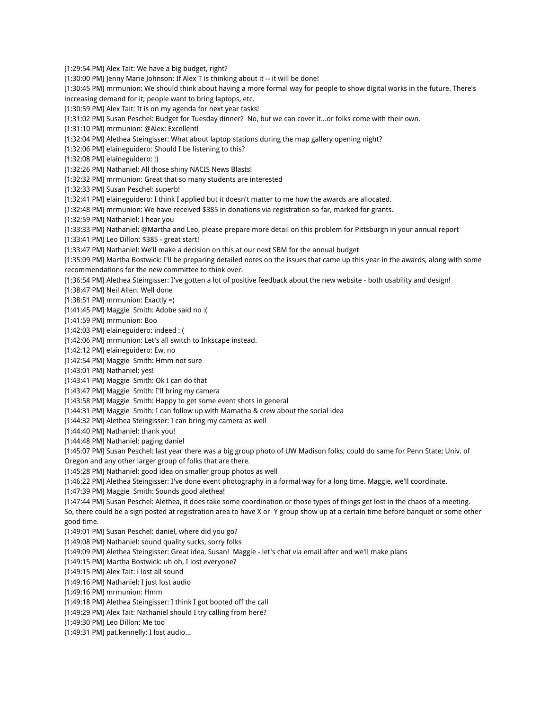[1:29:54 PM] Alex Tait: We have a big budget, right? [1:30:00 PM] Jenny Marie Johnson: If Alex T is thinking about it -- it will be done! [1:30:45 PM] mrmunion: We should think about having a more formal way for people to show digital works in the future. There's increasing demand for it; people want to bring laptops, etc. [1:30:59 PM] Alex Tait: It is on my agenda for next year tasks! [1:31:02 PM] Susan Peschel: Budget for Tuesday dinner? No, but we can cover it...or folks come with their own. [1:31:10 PM] mrmunion: @Alex: Excellent! [1:32:04 PM] Alethea Steingisser: What about laptop stations during the map gallery opening night? [1:32:06 PM] elaineguidero: Should I be listening to this? [1:32:08 PM] elaineguidero: ;) [1:32:26 PM] Nathaniel: All those shiny NACIS News Blasts! [1:32:32 PM] mrmunion: Great that so many students are interested [1:32:33 PM] Susan Peschel: superb! [1:32:41 PM] elaineguidero: I think I applied but it doesn't matter to me how the awards are allocated. [1:32:48 PM] mrmunion: We have received \$385 in donations via registration so far, marked for grants. [1:32:59 PM] Nathaniel: I hear you [1:33:33 PM] Nathaniel: @Martha and Leo, please prepare more detail on this problem for Pittsburgh in your annual report [1:33:41 PM] Leo Dillon: \$385 - great start! [1:33:47 PM] Nathaniel: We'll make a decision on this at our next SBM for the annual budget [1:35:09 PM] Martha Bostwick: I'll be preparing detailed notes on the issues that came up this year in the awards, along with some recommendations for the new committee to think over. [1:36:54 PM] Alethea Steingisser: I've gotten a lot of positive feedback about the new website - both usability and design! [1:38:47 PM] Neil Allen: Well done [1:38:51 PM] mrmunion: Exactly =) [1:41:45 PM] Maggie Smith: Adobe said no :( [1:41:59 PM] mrmunion: Boo [1:42:03 PM] elaineguidero: indeed : ( [1:42:06 PM] mrmunion: Let's all switch to Inkscape instead. [1:42:12 PM] elaineguidero: Ew, no [1:42:54 PM] Maggie Smith: Hmm not sure [1:43:01 PM] Nathaniel: yes! [1:43:41 PM] Maggie Smith: Ok I can do that [1:43:47 PM] Maggie Smith: I'll bring my camera [1:43:58 PM] Maggie Smith: Happy to get some event shots in general [1:44:31 PM] Maggie Smith: I can follow up with Mamatha & crew about the social idea [1:44:32 PM] Alethea Steingisser: I can bring my camera as well [1:44:40 PM] Nathaniel: thank you! [1:44:48 PM] Nathaniel: paging daniel [1:45:07 PM] Susan Peschel: last year there was a big group photo of UW Madison folks; could do same for Penn State; Univ. of Oregon and any other larger group of folks that are there. [1:45:28 PM] Nathaniel: good idea on smaller group photos as well [1:46:22 PM] Alethea Steingisser: I've done event photography in a formal way for a long time. Maggie, we'll coordinate. [1:47:39 PM] Maggie Smith: Sounds good alethea! [1:47:44 PM] Susan Peschel: Alethea, it does take some coordination or those types of things get lost in the chaos of a meeting. So, there could be a sign posted at registration area to have X or Y group show up at a certain time before banquet or some other good time. [1:49:01 PM] Susan Peschel: daniel, where did you go? [1:49:08 PM] Nathaniel: sound quality sucks, sorry folks [1:49:09 PM] Alethea Steingisser: Great idea, Susan! Maggie - let's chat via email after and we'll make plans [1:49:15 PM] Martha Bostwick: uh oh, I lost everyone? [1:49:15 PM] Alex Tait: i lost all sound [1:49:16 PM] Nathaniel: I just lost audio [1:49:16 PM] mrmunion: Hmm [1:49:18 PM] Alethea Steingisser: I think I got booted off the call [1:49:29 PM] Alex Tait: Nathaniel should I try calling from here? [1:49:30 PM] Leo Dillon: Me too [1:49:31 PM] pat.kennelly: I lost audio...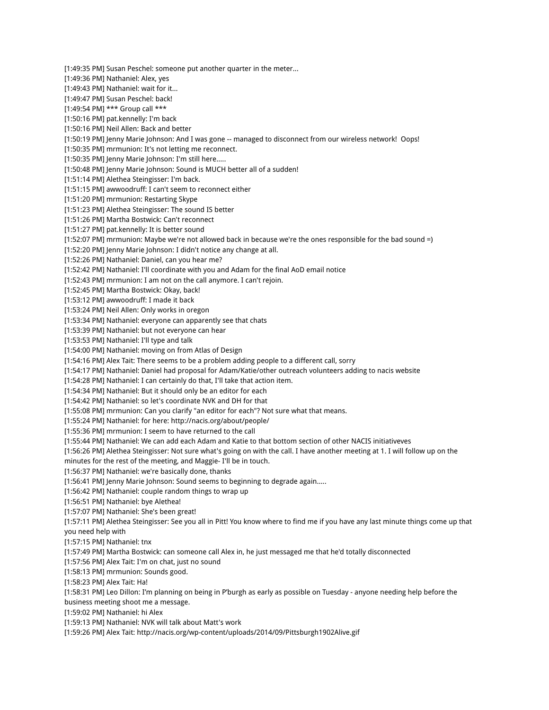[1:49:35 PM] Susan Peschel: someone put another quarter in the meter... [1:49:36 PM] Nathaniel: Alex, yes [1:49:43 PM] Nathaniel: wait for it... [1:49:47 PM] Susan Peschel: back! [1:49:54 PM] \*\*\* Group call \*\*\* [1:50:16 PM] pat.kennelly: I'm back [1:50:16 PM] Neil Allen: Back and better [1:50:19 PM] Jenny Marie Johnson: And I was gone -- managed to disconnect from our wireless network! Oops! [1:50:35 PM] mrmunion: It's not letting me reconnect. [1:50:35 PM] Jenny Marie Johnson: I'm still here..... [1:50:48 PM] Jenny Marie Johnson: Sound is MUCH better all of a sudden! [1:51:14 PM] Alethea Steingisser: I'm back. [1:51:15 PM] awwoodruff: I can't seem to reconnect either [1:51:20 PM] mrmunion: Restarting Skype [1:51:23 PM] Alethea Steingisser: The sound IS better [1:51:26 PM] Martha Bostwick: Can't reconnect [1:51:27 PM] pat.kennelly: It is better sound [1:52:07 PM] mrmunion: Maybe we're not allowed back in because we're the ones responsible for the bad sound =) [1:52:20 PM] Jenny Marie Johnson: I didn't notice any change at all. [1:52:26 PM] Nathaniel: Daniel, can you hear me? [1:52:42 PM] Nathaniel: I'll coordinate with you and Adam for the final AoD email notice [1:52:43 PM] mrmunion: I am not on the call anymore. I can't rejoin. [1:52:45 PM] Martha Bostwick: Okay, back! [1:53:12 PM] awwoodruff: I made it back [1:53:24 PM] Neil Allen: Only works in oregon [1:53:34 PM] Nathaniel: everyone can apparently see that chats [1:53:39 PM] Nathaniel: but not everyone can hear [1:53:53 PM] Nathaniel: I'll type and talk [1:54:00 PM] Nathaniel: moving on from Atlas of Design [1:54:16 PM] Alex Tait: There seems to be a problem adding people to a different call, sorry [1:54:17 PM] Nathaniel: Daniel had proposal for Adam/Katie/other outreach volunteers adding to nacis website [1:54:28 PM] Nathaniel: I can certainly do that, I'll take that action item. [1:54:34 PM] Nathaniel: But it should only be an editor for each [1:54:42 PM] Nathaniel: so let's coordinate NVK and DH for that [1:55:08 PM] mrmunion: Can you clarify "an editor for each"? Not sure what that means. [1:55:24 PM] Nathaniel: for here: http://nacis.org/about/people/ [1:55:36 PM] mrmunion: I seem to have returned to the call [1:55:44 PM] Nathaniel: We can add each Adam and Katie to that bottom section of other NACIS initiativeves [1:56:26 PM] Alethea Steingisser: Not sure what's going on with the call. I have another meeting at 1. I will follow up on the minutes for the rest of the meeting, and Maggie- I'll be in touch. [1:56:37 PM] Nathaniel: we're basically done, thanks [1:56:41 PM] Jenny Marie Johnson: Sound seems to beginning to degrade again..... [1:56:42 PM] Nathaniel: couple random things to wrap up [1:56:51 PM] Nathaniel: bye Alethea! [1:57:07 PM] Nathaniel: She's been great! [1:57:11 PM] Alethea Steingisser: See you all in Pitt! You know where to find me if you have any last minute things come up that you need help with [1:57:15 PM] Nathaniel: tnx [1:57:49 PM] Martha Bostwick: can someone call Alex in, he just messaged me that he'd totally disconnected [1:57:56 PM] Alex Tait: I'm on chat, just no sound [1:58:13 PM] mrmunion: Sounds good. [1:58:23 PM] Alex Tait: Ha! [1:58:31 PM] Leo Dillon: I'm planning on being in P'burgh as early as possible on Tuesday - anyone needing help before the business meeting shoot me a message. [1:59:02 PM] Nathaniel: hi Alex [1:59:13 PM] Nathaniel: NVK will talk about Matt's work [1:59:26 PM] Alex Tait: http://nacis.org/wp-content/uploads/2014/09/Pittsburgh1902Alive.gif